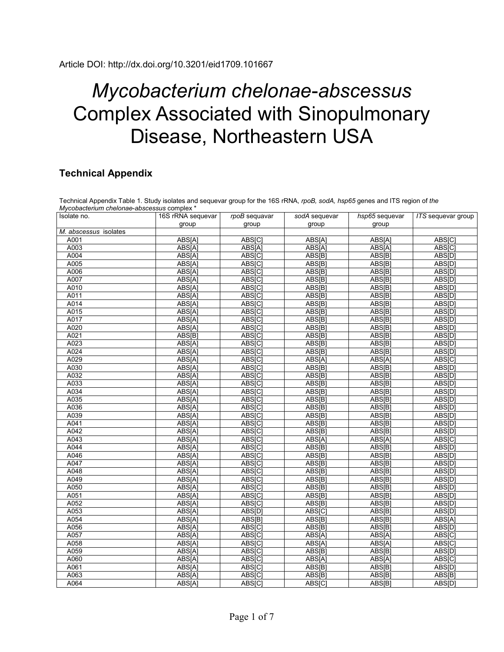## *Mycobacterium chelonae*-*abscessus* Complex Associated with Sinopulmonary Disease, Northeastern USA

## **Technical Appendix**

| Isolate no.           | 16S rRNA sequevar | rpoB sequavar | sodA sequevar | hsp65 sequevar | <b>ITS</b> sequevar group |
|-----------------------|-------------------|---------------|---------------|----------------|---------------------------|
|                       | group             | group         | group         | group          |                           |
| M. abscessus isolates |                   |               |               |                |                           |
| A001                  | ABS[A]            | ABS[C]        | ABS[A]        | ABS[A]         | ABS[C]                    |
| A003                  | ABS[A]            | ABS[A]        | ABS[A]        | ABS[A]         | ABS[C]                    |
| A004                  | ABS[A]            | ABS[C]        | ABS[B]        | ABS[B]         | ABS[D]                    |
| A005                  | ABS[A]            | ABS[C]        | ABS[B]        | ABS[B]         | ABS[D]                    |
| A006                  | ABS[A]            | ABS[C]        | ABS[B]        | ABS[B]         | ABS[D]                    |
| A007                  | ABS[A]            | ABS[C]        | ABS[B]        | ABS[B]         | ABS[D]                    |
| A010                  | ABS[A]            | ABS[C]        | ABS[B]        | ABS[B]         | ABS[D]                    |
| A011                  | ABS[A]            | ABS[C]        | ABS[B]        | ABS[B]         | ABS[D]                    |
| A014                  | ABS[A]            | ABS[C]        | ABS[B]        | ABS[B]         | ABS[D]                    |
| A015                  | ABS[A]            | ABS[C]        | ABS[B]        | ABS[B]         | ABS[D]                    |
| A017                  | ABS[A]            | ABS[C]        | ABS[B]        | ABS[B]         | ABS[D]                    |
| A020                  | ABS[A]            | ABS[C]        | ABS[B]        | ABS[B]         | ABS[D]                    |
| A021                  | ABS[B]            | ABS[C]        | ABS[B]        | ABS[B]         | ABS[D]                    |
| A023                  | ABS[A]            | ABS[C]        | ABS[B]        | ABS[B]         | ABS[D]                    |
| A024                  | ABS[A]            | ABS[C]        | ABS[B]        | ABS[B]         | ABS[D]                    |
| A029                  | ABS[A]            | ABS[C]        | ABS[A]        | ABS[A]         | ABS[C]                    |
| A030                  | ABS[A]            | ABS[C]        | ABS[B]        | ABS[B]         | ABS[D]                    |
| A032                  | ABS[A]            | ABS[C]        | ABS[B]        | ABS[B]         | ABS[D]                    |
| A033                  | ABS[A]            | ABS[C]        | ABS[B]        | ABS[B]         | ABS[D]                    |
| A034                  | ABS[A]            | ABS[C]        | ABS[B]        | ABS[B]         | ABS[D]                    |
| A035                  | ABS[A]            | ABS[C]        | ABS[B]        | ABS[B]         | ABS[D]                    |
| A036                  | ABS[A]            | ABS[C]        | ABS[B]        | ABS[B]         | ABS[D]                    |
| A039                  | ABS[A]            | ABS[C]        | ABS[B]        | ABS[B]         | ABS[D]                    |
| A041                  | ABS[A]            | ABS[C]        | ABS[B]        | ABS[B]         | ABS[D]                    |
| A042                  | ABS[A]            | <b>ABS[C]</b> | ABS[B]        | ABS[B]         | <b>ABS[D]</b>             |
| A043                  | ABS[A]            | ABS[C]        | ABS[A]        | ABS[A]         | ABS[C]                    |
| A044                  | ABS[A]            | ABS[C]        | ABS[B]        | ABS[B]         | <b>ABS[D]</b>             |
| A046                  | ABS[A]            | <b>ABS[C]</b> | ABS[B]        | ABS[B]         | <b>ABS[D]</b>             |
| A047                  | ABS[A]            | ABS[C]        | ABS[B]        | ABS[B]         | ABS[D]                    |
| A048                  | ABS[A]            | <b>ABS[C]</b> | ABS[B]        | ABS[B]         | <b>ABS[D]</b>             |
| A049                  | ABS[A]            | ABS[C]        | ABS[B]        | ABS[B]         | ABS[D]                    |
| A050                  | ABS[A]            | <b>ABS[C]</b> | ABS[B]        | ABS[B]         | ABS[D]                    |
| A051                  | ABS[A]            | ABS[C]        | ABS[B]        | ABS[B]         | ABS[D]                    |
| A052                  | ABS[A]            | <b>ABS[C]</b> | ABS[B]        | <b>ABS[B]</b>  | <b>ABS[D]</b>             |
| A053                  | ABS[A]            | ABS[D]        | ABS[C]        | ABS[B]         | ABS[D]                    |
| A054                  | ABS[A]            | ABS[B]        | ABS[B]        | ABS[B]         | <b>ABS[A]</b>             |
| A056                  | ABS[A]            | <b>ABS[C]</b> | ABS[B]        | ABS[B]         | <b>ABS[D]</b>             |
| A057                  | ABS[A]            | ABS[C]        | ABS[A]        | ABS[A]         | <b>ABS[C]</b>             |
| A058                  | ABS[A]            | ABS[C]        | ABS[A]        | ABS[A]         | <b>ABS[C]</b>             |
| A059                  | ABS[A]            | ABS[C]        | ABS[B]        | ABS[B]         | ABS[D]                    |
| A060                  | ABS[A]            | ABS[C]        | ABS[A]        | ABS[A]         | ABS[C]                    |
| A061                  | ABS[A]            | ABS[C]        | ABS[B]        | ABS[B]         | ABS[D]                    |
| A063                  | ABS[A]            | <b>ABS[C]</b> | ABS[B]        | ABS[B]         | ABS[B]                    |
| A064                  | ABS[A]            | ABS[C]        | ABS[C]        | ABS[B]         | ABS[D]                    |

Technical Appendix Table 1. Study isolates and sequevar group for the 16S rRNA, *rpoB, sodA, hsp65* genes and ITS region of *the*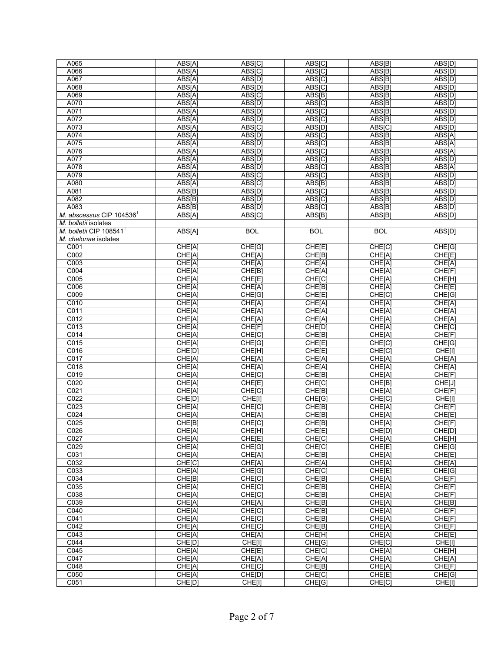| A065                       | ABS[A] | ABS[C]     | ABS[C]           | ABS[B]     | ABS[D]             |
|----------------------------|--------|------------|------------------|------------|--------------------|
| A066                       | ABS[A] | ABS[C]     | ABS[C]           | ABS[B]     | ABS[D]             |
| A067                       | ABS[A] | ABS[D]     | ABS[C]           | ABS[B]     | ABS <sub>[D]</sub> |
| A068                       | ABS[A] | ABS[D]     | ABS[C]           | ABS[B]     | ABS[D]             |
| A069                       | ABS[A] | ABS[C]     | ABS[B]           | ABS[B]     | ABS[D]             |
| A070                       | ABS[A] | ABS[D]     | ABS[C]           | ABS[B]     | ABS[D]             |
| A071                       | ABS[A] | ABS[D]     | <b>ABS[C]</b>    | ABS[B]     | ABS[D]             |
| A072                       | ABS[A] | ABS[D]     | ABS[C]           | ABS[B]     | ABS[D]             |
| A073                       | ABS[A] | ABS[C]     | ABS[D]           | ABS[C]     | ABS[D]             |
| A074                       | ABS[A] | ABS[D]     | ABS[C]           | ABS[B]     | ABS[A]             |
| A075                       | ABS[A] | ABS[D]     | ABS[C]           | ABS[B]     | ABS[A]             |
| A076                       | ABS[A] | ABS[D]     | ABS[C]           | ABS[B]     | ABS[A]             |
| A077                       | ABS[A] | ABS[D]     | ABS[C]           | ABS[B]     | ABS[D]             |
| A078                       | ABS[A] | ABS[D]     | ABS[C]           | ABS[B]     | ABS[A]             |
| A079                       | ABS[A] | ABS[C]     | ABS[C]           | ABS[B]     | ABS[D]             |
| A080                       | ABS[A] |            | ABS[B]           | ABS[B]     |                    |
|                            |        | ABS[C]     |                  |            | ABS[D]             |
| A081                       | ABS[B] | ABS[D]     | ABS[C]           | ABS[B]     | ABS[D]             |
| A082                       | ABS[B] | ABS[D]     | ABS[C]           | ABS[B]     | ABS[D]             |
| A083                       | ABS[B] | ABS[D]     | ABS[C]           | ABS[B]     | ABS[D]             |
| M. abscessus CIP 104536    | ABS[A] | ABS[C]     | ABS[B]           | ABS[B]     | ABS[D]             |
| M. bolletii isolates       |        |            |                  |            |                    |
| M. bolletii CIP $108541^T$ | ABS[A] | <b>BOL</b> | <b>BOL</b>       | <b>BOL</b> | ABS[D]             |
| M. chelonae isolates       |        |            |                  |            |                    |
| C <sub>001</sub>           | CHE[A] | CHE[G]     | CHE[E]           | CHE[C]     | CHE[G]             |
| C <sub>002</sub>           | CHE[A] | CHE[A]     | CHE[B]           | CHE[A]     | CHE[E]             |
| C003                       | CHE[A] | CHE[A]     | CHE[A]           | CHE[A]     | CHE[A]             |
| C <sub>004</sub>           | CHE[A] | CHE[B]     | CHE[A]           | CHE[A]     | CHE[F]             |
| C005                       | CHE[A] | CHE[E]     | CHE[C]           | CHE[A]     | CHE[H]             |
| C006                       | CHE[A] | CHE[A]     | CHE[B]           | CHE[A]     | CHE[E]             |
| C009                       | CHE[A] | CHE[G]     | CHE[E]           | CHE[C]     | CHE[G]             |
| C010                       | CHE[A] | CHE[A]     | CHE[A]           | CHE[A]     | CHE[A]             |
| C <sub>011</sub>           | CHE[A] | CHE[A]     | CHE[A]           | CHE[A]     | CHE[A]             |
| C012                       | CHE[A] | CHE[A]     | CHE[A]           | CHE[A]     | CHE[A]             |
| C <sub>013</sub>           | CHE[A] | CHE[F]     | CHE[D]           | CHE[A]     | CHE[C]             |
| $\overline{CO14}$          | CHE[A] | CHE[C]     | CHE[B]           | CHE[A]     | CHE[F]             |
| C <sub>015</sub>           | CHE[A] | CHE[G]     | CHE[E]           | CHE[C]     | CHE[G]             |
| C016                       | CHE[D] | CHE[H]     | CHE[E]           | CHE[C]     | CHE[I]             |
| C <sub>017</sub>           | CHE[A] | CHE[A]     | CHE[A]           | CHE[A]     | CHE[A]             |
| C018                       | CHE[A] | CHE[A]     | CHE[A]           | CHE[A]     | CHE[A]             |
| C019                       | CHE[A] | CHE[C]     | CHE[B]           | CHE[A]     | CHE[F]             |
| C020                       | CHE[A] | CHE[E]     | CHE[C]           | CHE[B]     | CHE[J]             |
| C <sub>021</sub>           | CHE[A] | CHE[C]     | CHE[B]           | CHE[A]     | CHE[F]             |
| C <sub>022</sub>           | CHE[D] | CHE[I]     | CHE[G]           | CHE[C]     | CHE[1]             |
| CO <sub>23</sub>           | CHE[A] | CHE[C]     | CHE[B]           | CHE[A]     | CHE[F]             |
| C024                       | CHE[A] | CHE[A]     | CHE[B]           | CHE[A]     | CHE[E]             |
| C025                       | CHE[B] | CHE[C]     | CHE[B]           | CHE[A]     | CHE[F]             |
| C026                       | CHE[A] | CHE[H]     | CHE[E]           | CHE[D]     | CHE[D]             |
| C027                       | CHE[A] | CHE[E]     | CHE[C]           | CHE[A]     | CHE[H]             |
| C029                       | CHE[A] | CHE[G]     | CHE[C]           | CHE[E]     | CHE[G]             |
| C031                       | CHE[A] | CHE[A]     | CHE[B]           | CHE[A]     | CHE[E]             |
| C032                       | CHE[C] | CHE[A]     | CHE[A]           | CHE[A]     | CHE[A]             |
| C033                       | CHE[A] | CHE[G]     | CHE[C]           | CHE[E]     | CHE[G]             |
| C034                       | CHE[B] | CHE[C]     | CHE[B]           | CHE[A]     | CHE[F]             |
| C035                       | CHE[A] | CHE[C]     | CHE[B]           | CHE[A]     | CHE[F]             |
| C038                       |        |            |                  |            |                    |
|                            | CHE[A] | CHE[C]     | CHE[B]<br>CHE[B] | CHE[A]     | CHE[F]             |
| C039                       | CHE[A] | CHE[A]     |                  | CHE[A]     | CHE[B]             |
| C040                       | CHE[A] | CHE[C]     | CHE[B]           | CHE[A]     | CHE[F]             |
| C041                       | CHE[A] | CHE[C]     | CHE[B]           | CHE[A]     | CHE[F]             |
| C <sub>042</sub>           | CHE[A] | CHE[C]     | CHE[B]           | CHE[A]     | CHE[F]             |
| C <sub>043</sub>           | CHE[A] | CHE[A]     | CHE[H]           | CHE[A]     | CHE[E]             |
| C <sub>044</sub>           | CHE[D] | CHE[I]     | CHE[G]           | CHE[C]     | CHE[I]             |
| C <sub>045</sub>           | CHE[A] | CHE[E]     | CHE[C]           | CHE[A]     | CHE[H]             |
| C <sub>047</sub>           | CHE[A] | CHE[A]     | CHE[A]           | CHE[A]     | CHE[A]             |
| C048                       | CHE[A] | CHE[C]     | CHE[B]           | CHE[A]     | CHE[F]             |
| C050                       | CHE[A] | CHE[D]     | CHE[C]           | CHE[E]     | CHE[G]             |
| C <sub>051</sub>           | CHE[D] | CHE[I]     | CHE[G]           | CHE[C]     | CHE[I]             |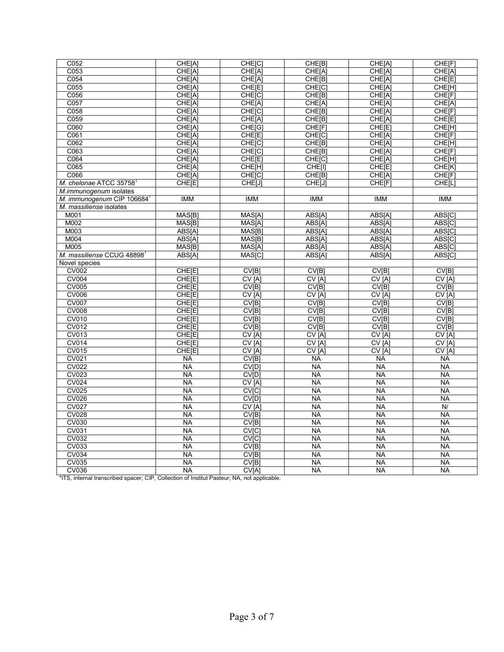| C052                                    | CHE[A]          | CHE[C]             | CHE[B]            | CHE[A]                  | CHE[F]             |
|-----------------------------------------|-----------------|--------------------|-------------------|-------------------------|--------------------|
| C053                                    | CHE[A]          | CHE[A]             | CHE[A]            | CHE[A]                  | CHE[A]             |
| C <sub>054</sub>                        | CHE[A]          | CHE[A]             | CHE[B]            | CHE[A]                  | CHE[E]             |
| C055                                    | CHE[A]          | CHE[E]             | CHE[C]            | CHE[A]                  | CHE[H]             |
| C056                                    | CHE[A]          | CHE <sub>[C]</sub> | CHE[B]            | CHE[A]                  | CHE <sup>[F]</sup> |
| C057                                    | CHE[A]          | CHE[A]             | CHE[A]            | CHE[A]                  | CHE[A]             |
| C058                                    | CHE[A]          | CHE[C]             | CHE[B]            | CHE[A]                  | CHE[F]             |
| C059                                    | CHE[A]          | CHE[A]             | CHE[B]            | CHE[A]                  | CHE[E]             |
| C060                                    | CHE[A]          | CHE[G]             | CHE[F]            | CHE[E]                  | CHE[H]             |
| C061                                    | CHE[A]          | CHE[E]             | CHE[C]            | CHE[A]                  | CHE[F]             |
| C062                                    | CHE[A]          | CHE <sub>[C]</sub> | CHE[B]            | CHE[A]                  | CHE[H]             |
| C063                                    | CHE[A]          | CHE[C]             | <b>CHE[B]</b>     | CHE[A]                  | CHE[F]             |
| C064                                    | CHE[A]          | CHE[E]             | CHE[C]            | CHE[A]                  | CHE[H]             |
| C065                                    | CHE[A]          | CHE <sup>[H]</sup> | CHE[I]            | CHE[E]                  | <b>CHE[K]</b>      |
| C066                                    | CHE[A]          | CHE[C]             | CHE[B]            | CHE[A]                  | CHE[F]             |
| M. chelonae ATCC 35758                  | CHE[E]          | CHE[J]             | CHE[J]            | CHE[F]                  | CHE[L]             |
| M.immunogenum isolates                  |                 |                    |                   |                         |                    |
| M. immunogenum CIP 106684 $^{\text{T}}$ | <b>IMM</b>      | <b>IMM</b>         | <b>IMM</b>        | <b>IMM</b>              | <b>IMM</b>         |
| M. massiliense isolates                 |                 |                    |                   |                         |                    |
| M001                                    | MAS[B]          | MAS[A]             | ABS[A]            | ABS[A]                  | ABS[C]             |
| M002                                    | MAS[B]          | MAS[A]             | ABS[A]            | ABS[A]                  | ABS[C]             |
| M003                                    | ABS[A]          | MAS <sup>[B]</sup> | ABS[A]            | ABS[A]                  | ABS[C]             |
| M004                                    | ABS[A]          | MAS[B]             | ABS[A]            | ABS[A]                  | ABS[C]             |
| M005                                    | MAS[B]          | MAS[A]             | ABS[A]            | ABS[A]                  | ABS[C]             |
| M. massiliense CCUG 48898               | ABS[A]          | MAS[C]             | ABS[A]            | ABS[A]                  | ABS[C]             |
| Novel species                           |                 |                    |                   |                         |                    |
| <b>CV002</b>                            | CHE[E]          | CV[B]              | CV[B]             | CV[B]                   | CV[B]              |
| CV004                                   | CHE[E]          | CV[A]              | CV <sub>[A]</sub> | CV <sub>[A]</sub>       | CV[A]              |
| <b>CV005</b>                            | CHE[E]          | CV[B]              | CV[B]             | CV[B]                   | CV[B]              |
| <b>CV006</b>                            | CHE[E]          | CV[A]              | CV[A]             | CV[A]                   | CV[A]              |
| <b>CV007</b>                            | CHE[E]          | CV[B]              | CV[B]             | CV[B]                   | CV[B]              |
| <b>CV008</b>                            | CHE[E]          | CV[B]              | CV[B]             | CV[B]                   | CV[B]              |
| <b>CV010</b>                            | CHE[E]          | CV[B]              | CV[B]             | CV[B]                   | CV[B]              |
| <b>CV012</b>                            | CHE[E]          | CV[B]              | CV[B]             | <b>CV<sub>[B]</sub></b> | CV[B]              |
| <b>CV013</b>                            | CHE[E]          | CV[A]              | CV[A]             | CV[A]                   | CV[A]              |
| <b>CV014</b>                            | CHE[E]          | CV[A]              | CV[A]             | CV[A]                   | CV[A]              |
| CV015                                   | CHE[E]          | CV[A]              | CV[A]             | CV[A]                   | CV[A]              |
| <b>CV021</b>                            | <b>NA</b>       | CV[B]              | <b>NA</b>         | <b>NA</b>               | <b>NA</b>          |
| <b>CV022</b>                            | <b>NA</b>       | CV[D]              | <b>NA</b>         | <b>NA</b>               | <b>NA</b>          |
| <b>CV023</b>                            | <b>NA</b>       | CV[D]              | <b>NA</b>         | <b>NA</b>               | <b>NA</b>          |
| <b>CV024</b>                            | <b>NA</b>       | CV[A]              | <b>NA</b>         | <b>NA</b>               | <b>NA</b>          |
| <b>CV025</b>                            | <b>NA</b>       | CV[C]              | <b>NA</b>         | <b>NA</b>               | <b>NA</b>          |
| <b>CV026</b>                            | <b>NA</b>       | CV[D]              | <b>NA</b>         | <b>NA</b>               | <b>NA</b>          |
| <b>CV027</b>                            | <b>NA</b>       | CV[A]              | <b>NA</b>         | $\overline{NA}$         | $\overline{N}$     |
| <b>CV028</b>                            | <b>NA</b>       | CV[B]              | <b>NA</b>         | <b>NA</b>               | <b>NA</b>          |
| <b>CV030</b>                            | <b>NA</b>       | CV[B]              | <b>NA</b>         | <b>NA</b>               | <b>NA</b>          |
| <b>CV031</b>                            | <b>NA</b>       | CV[C]              | <b>NA</b>         | <b>NA</b>               | <b>NA</b>          |
| <b>CV032</b>                            | <b>NA</b>       | <b>CV[C]</b>       | <b>NA</b>         | <b>NA</b>               | <b>NA</b>          |
| <b>CV033</b>                            | <b>NA</b>       | CV[B]              | <b>NA</b>         | <b>NA</b>               | <b>NA</b>          |
| <b>CV034</b>                            | <b>NA</b>       | CV[B]              | <b>NA</b>         | <b>NA</b>               | <b>NA</b>          |
| <b>CV035</b>                            | $\overline{NA}$ | CV <sub>[B]</sub>  | <b>NA</b>         | $\overline{NA}$         | <b>NA</b>          |
| <b>CV036</b>                            | <b>NA</b>       | CV[A]              | <b>NA</b>         | <b>NA</b>               | <b>NA</b>          |

\*ITS, internal transcribed spacer; CIP, Collection of Institut Pasteur; NA, not applicable.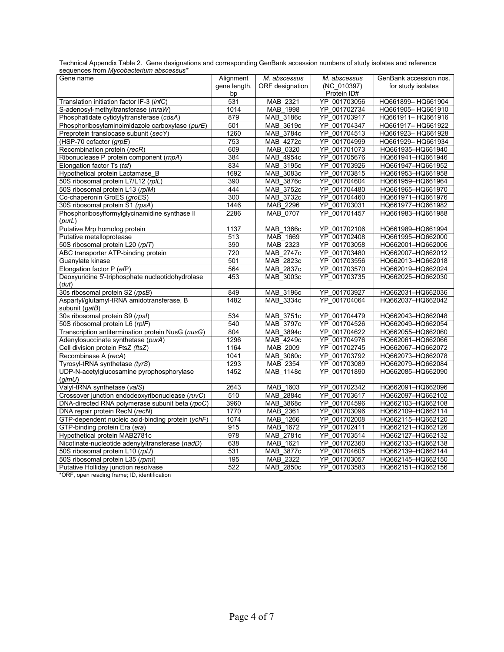Technical Appendix Table 2. Gene designations and corresponding GenBank accession numbers of study isolates and reference sequences from *Mycobacterium abscessus\**

| Gene name                                                 | Alignment        | M. abscessus    | M. abscessus     | GenBank accession nos. |
|-----------------------------------------------------------|------------------|-----------------|------------------|------------------------|
|                                                           | gene length,     | ORF designation | (NC 010397)      | for study isolates     |
|                                                           | bp               |                 | Protein ID#      |                        |
| Translation initiation factor IF-3 (infC)                 | 531              | MAB 2321        | YP 001703056     | HQ661899-HQ661904      |
| S-adenosyl-methyltransferase (mraW)                       | 1014             | MAB 1998        | YP 001702734     | HQ661905-HQ661910      |
| Phosphatidate cytidylyltransferase (cdsA)                 | 879              | MAB 3186c       | YP 001703917     | HQ661911-HQ661916      |
| Phosphoribosylaminoimidazole carboxylase (purE)           | 501              | MAB_3619c       | YP 001704347     | HQ661917-HQ661922      |
| Preprotein translocase subunit (secY)                     | 1260             | MAB 3784c       | YP 001704513     | HQ661923-HQ661928      |
| (HSP-70 cofactor (grpE)                                   | 753              | MAB 4272c       | YP_001704999     | HQ661929-HQ661934      |
| Recombination protein (recR)                              | 609              | MAB 0320        | YP 001701073     | HQ661935-HQ661940      |
| Ribonuclease P protein component (rnpA)                   | 384              | MAB 4954c       | YP_001705676     | HQ661941-HQ661946      |
| Elongation factor Ts (tsf)                                | 834              | MAB_3195c       | YP_001703926     | HQ661947-HQ661952      |
| Hypothetical protein Lactamase_B                          | 1692             | MAB_3083c       | YP_001703815     | HQ661953-HQ661958      |
| 50S ribosomal protein L7/L12 (rplL)                       | 390              | MAB_3876c       | YP 001704604     | HQ661959-HQ661964      |
| 50S ribosomal protein L13 (rplM)                          | 444              | MAB 3752c       | YP_001704480     | HQ661965-HQ661970      |
| Co-chaperonin GroES (groES)                               | 300              | MAB_3732c       | YP_001704460     | HQ661971-HQ661976      |
| 30S ribosomal protein S1 (rpsA)                           | 1446             | MAB 2296        | YP 001703031     | HQ661977-HQ661982      |
| Phosphoribosylformylglycinamidine synthase II             | 2286             | MAB_0707        | YP_001701457     | HQ661983-HQ661988      |
| (purt)                                                    |                  |                 |                  |                        |
| Putative Mrp homolog protein                              | 1137             | MAB_1366c       | YP_001702106     | HQ661989-HQ661994      |
| Putative metalloprotease                                  | 513              | MAB 1669        | YP 001702408     | HQ661995-HQ662000      |
| 50S ribosomal protein L20 (rp/T)                          | 390              | MAB 2323        | YP 001703058     | HQ662001-HQ662006      |
| ABC transporter ATP-binding protein                       | 720              | MAB 2747c       | YP 001703480     | HQ662007-HQ662012      |
| Guanylate kinase                                          | 501              | MAB 2823c       | YP 001703556     | HQ662013-HQ662018      |
| Elongation factor P (efP)                                 | 564              | MAB 2837c       | YP 001703570     | HQ662019-HQ662024      |
| Deoxyuridine 5'-triphosphate nucleotidohydrolase<br>(dut) | 453              | MAB_3003c       | YP_001703735     | HQ662025-HQ662030      |
| 30s ribosomal protein S2 (rpsB)                           | 849              | MAB_3196c       | YP 001703927     | HQ662031-HQ662036      |
| Aspartyl/glutamyl-tRNA amidotransferase, B                | 1482             | MAB_3334c       | YP 001704064     | HQ662037-HQ662042      |
| subunit (gatB)                                            |                  |                 |                  |                        |
| 30s ribosomal protein S9 (rpsl)                           | 534              | MAB_3751c       | YP 001704479     | HQ662043-HQ662048      |
| 50S ribosomal protein L6 (rplF)                           | 540              | MAB 3797c       | YP 001704526     | HQ662049-HQ662054      |
| Transcription antitermination protein NusG (nusG)         | 804              | MAB 3894c       | YP 001704622     | HQ662055-HQ662060      |
| Adenylosuccinate synthetase (purA)                        | 1296             | MAB 4249c       | YP 001704976     | HQ662061-HQ662066      |
| Cell division protein FtsZ (ftsZ)                         | 1164             | MAB_2009        | 001702745<br>YP. | HQ662067-HQ662072      |
| Recombinase A (recA)                                      | 1041             | MAB_3060c       | YP 001703792     | HQ662073-HQ662078      |
| Tyrosyl-tRNA synthetase (tyrS)                            | 1293             | MAB_2354        | YP_001703089     | HQ662079-HQ662084      |
| UDP-N-acetylglucosamine pyrophosphorylase                 | 1452             | MAB_1148c       | YP_001701890     | HQ662085-HQ662090      |
| (g/mU)                                                    |                  |                 |                  |                        |
| Valyl-tRNA synthetase (valS)                              | 2643             | MAB_1603        | YP_001702342     | HQ662091-HQ662096      |
| Crossover junction endodeoxyribonuclease (ruvC)           | 510              | MAB 2884c       | YP_001703617     | HQ662097-HQ662102      |
| DNA-directed RNA polymerase subunit beta (rpoC)           | 3960             | MAB_3868c       | YP_001704596     | HQ662103-HQ662108      |
| DNA repair protein RecN (recN)                            | 1770             | MAB_2361        | YP_001703096     | HQ662109-HQ662114      |
| GTP-dependent nucleic acid-binding protein (ychF)         | 1074             | MAB 1266        | YP 001702008     | HQ662115-HQ662120      |
| GTP-binding protein Era (era)                             | 915              | MAB 1672        | YP 001702411     | HQ662121-HQ662126      |
| Hypothetical protein MAB2781c                             | $\overline{978}$ | MAB_2781c       | YP_001703514     | HQ662127-HQ662132      |
| Nicotinate-nucleotide adenylyltransferase (nadD)          | 638              | MAB 1621        | YP_001702360     | HQ662133-HQ662138      |
| 50S ribosomal protein L10 (rplJ)                          | 531              | MAB_3877c       | YP_001704605     | HQ662139-HQ662144      |
| 50S ribosomal protein L35 (rpml)                          | 195              | MAB 2322        | YP 001703057     | HQ662145-HQ662150      |
| Putative Holliday junction resolvase                      | 522              | MAB_2850c       | YP_001703583     | HQ662151-HQ662156      |

\*ORF, open reading frame; ID, identification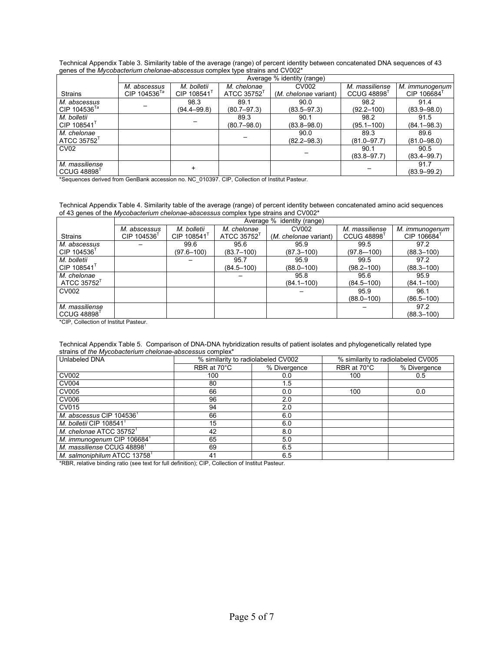| Technical Appendix Table 3. Similarity table of the average (range) of percent identity between concatenated DNA sequences of 43 |
|----------------------------------------------------------------------------------------------------------------------------------|
| genes of the Mycobacterium chelonae-abscessus complex type strains and CV002 <sup>*</sup>                                        |

|                            |                            | Average % identity (range) |                 |                       |                 |                 |  |  |  |  |
|----------------------------|----------------------------|----------------------------|-----------------|-----------------------|-----------------|-----------------|--|--|--|--|
|                            | M. abscessus               | M. bolletii                | M. chelonae     | CV002                 | M. massiliense  | M. immunogenum  |  |  |  |  |
| <b>Strains</b>             | CIP $104536$ <sup>Ta</sup> | CIP 108541                 | ATCC 35752      | (M. chelonae variant) | CCUG 48898      | CIP 106684      |  |  |  |  |
| M. abscessus               |                            | 98.3                       | 89.1            | 90.0                  | 98.2            | 91.4            |  |  |  |  |
| CIP $104536$ <sup>Ta</sup> |                            | $(94.4 - 99.8)$            | $(80.7 - 97.3)$ | $(83.5 - 97.3)$       | $(92.2 - 100)$  | $(83.9 - 98.0)$ |  |  |  |  |
| M. bolletii                |                            |                            | 89.3            | 90.1                  | 98.2            | 91.5            |  |  |  |  |
| CIP 108541 $T$             |                            |                            | $(80.7 - 98.0)$ | $(83.8 - 98.0)$       | $(95.1 - 100)$  | $(84.1 - 98.3)$ |  |  |  |  |
| M. chelonae                |                            |                            |                 | 90.0                  | 89.3            | 89.6            |  |  |  |  |
| ATCC $35752$ <sup>T</sup>  |                            |                            |                 | $(82.2 - 98.3)$       | $(81.0 - 97.7)$ | $(81.0 - 98.0)$ |  |  |  |  |
| CV <sub>02</sub>           |                            |                            |                 |                       | 90.1            | 90.5            |  |  |  |  |
|                            |                            |                            |                 |                       | $(83.8 - 97.7)$ | $(83.4 - 99.7)$ |  |  |  |  |
| M. massiliense             |                            |                            |                 |                       |                 | 91.7            |  |  |  |  |
| CCUG 48898 <sup>T</sup>    |                            |                            |                 |                       |                 | $(83.9 - 99.2)$ |  |  |  |  |

\*Sequences derived from GenBank accession no. NC\_010397. CIP, Collection of Institut Pasteur.

## Technical Appendix Table 4. Similarity table of the average (range) of percent identity between concatenated amino acid sequences of 43 genes of the *Mycobacterium chelonae-abscessus* complex type strains and CV002\*

|                                                                                  | Average % identity (range) |                |                |                       |                   |                |  |  |  |  |
|----------------------------------------------------------------------------------|----------------------------|----------------|----------------|-----------------------|-------------------|----------------|--|--|--|--|
|                                                                                  | M. abscessus               | M. bolletii    | M. chelonae    | CV002                 | M. massiliense    | M. immunogenum |  |  |  |  |
| <b>Strains</b>                                                                   | CIP 104536                 | CIP 108541     | ATCC 35752     | (M. chelonae variant) | <b>CCUG 48898</b> | CIP 106684     |  |  |  |  |
| M. abscessus                                                                     |                            | 99.6           | 95.6           | 95.9                  | 99.5              | 97.2           |  |  |  |  |
| CIP 104536                                                                       |                            | $(97.6 - 100)$ | $(83.7 - 100)$ | $(87.3 - 100)$        | $(97.8 - 100)$    | $(88.3 - 100)$ |  |  |  |  |
| M. bolletii                                                                      |                            |                | 95.7           | 95.9                  | 99.5              | 97.2           |  |  |  |  |
| CIP 108541                                                                       |                            |                | $(84.5 - 100)$ | $(88.0 - 100)$        | $(98.2 - 100)$    | $(88.3 - 100)$ |  |  |  |  |
| M. chelonae                                                                      |                            |                |                | 95.8                  | 95.6              | 95.9           |  |  |  |  |
| ATCC 35752                                                                       |                            |                |                | $(84.1 - 100)$        | $(84.5 - 100)$    | $(84.1 - 100)$ |  |  |  |  |
| CV002                                                                            |                            |                |                |                       | 95.9              | 96.1           |  |  |  |  |
|                                                                                  |                            |                |                |                       | $(88.0 - 100)$    | $(86.5 - 100)$ |  |  |  |  |
| M. massiliense                                                                   |                            |                |                |                       |                   | 97.2           |  |  |  |  |
| <b>CCUG 48898</b><br>$\mathbf{r} \cdot \mathbf{r}$ $\mathbf{r} \cdot \mathbf{r}$ | .                          |                |                |                       |                   | $(88.3 - 100)$ |  |  |  |  |

\*CIP, Collection of Institut Pasteur.

Technical Appendix Table 5. Comparison of DNA-DNA hybridization results of patient isolates and phylogenetically related type strains of *the Mycobacterium chelonae*-*abscessus* complex\*

| Unlabeled DNA                       | % similarity to radiolabeled CV002 |              | % similarity to radiolabeled CV005 |              |  |
|-------------------------------------|------------------------------------|--------------|------------------------------------|--------------|--|
|                                     | RBR at 70°C                        | % Divergence | RBR at 70°C                        | % Divergence |  |
| CV002                               | 100                                | 0.0          | 100                                | 0.5          |  |
| <b>CV004</b>                        | 80                                 | 1.5          |                                    |              |  |
| CV005                               | 66                                 | 0.0          | 100                                | 0.0          |  |
| CV006                               | 96                                 | 2.0          |                                    |              |  |
| CV015                               | 94                                 | 2.0          |                                    |              |  |
| M. abscessus CIP 104536             | 66                                 | 6.0          |                                    |              |  |
| M. bolletii CIP 108541              | 15                                 | 6.0          |                                    |              |  |
| M. chelonae ATCC 35752 <sup>T</sup> | 42                                 | 8.0          |                                    |              |  |
| M. immunogenum CIP 106684           | 65                                 | 5.0          |                                    |              |  |
| M. massiliense CCUG 48898           | 69                                 | 6.5          |                                    |              |  |
| M. salmoniphilum ATCC 13758         | 41                                 | 6.5          |                                    |              |  |

\*RBR, relative binding ratio (see text for full definition); CIP, Collection of Institut Pasteur.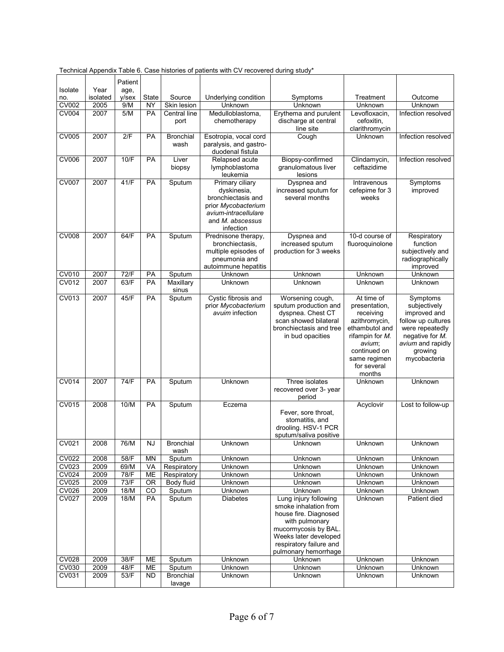|              |                  | Patient          |           |                  |                                        |                                                  |                                   |                                    |
|--------------|------------------|------------------|-----------|------------------|----------------------------------------|--------------------------------------------------|-----------------------------------|------------------------------------|
| Isolate      | Year<br>isolated | age,<br>$V$ /sex | State     | Source           | Underlying condition                   | Symptoms                                         | Treatment                         | Outcome                            |
| no.<br>CV002 | 2005             | 9/M              | ΝY        | Skin lesion      | Unknown                                | Unknown                                          | Unknown                           | Unknown                            |
| CV004        | 2007             | 5/M              | <b>PA</b> | Central line     | Medulloblastoma,                       | Erythema and purulent                            | Levofloxacin,                     | Infection resolved                 |
|              |                  |                  |           | port             | chemotherapy                           | discharge at central                             | cefoxitin,                        |                                    |
|              |                  |                  |           |                  |                                        | line site                                        | clarithromycin                    |                                    |
| <b>CV005</b> | 2007             | 2/F              | <b>PA</b> | <b>Bronchial</b> | Esotropia, vocal cord                  | Cough                                            | Unknown                           | Infection resolved                 |
|              |                  |                  |           | wash             | paralysis, and gastro-                 |                                                  |                                   |                                    |
|              |                  |                  |           |                  | duodenal fistula                       |                                                  |                                   |                                    |
| <b>CV006</b> | 2007             | 10/F             | <b>PA</b> | Liver<br>biopsy  | Relapsed acute<br>lymphoblastoma       | Biopsy-confirmed<br>granulomatous liver          | Clindamycin,<br>ceftazidime       | Infection resolved                 |
|              |                  |                  |           |                  | leukemia                               | lesions                                          |                                   |                                    |
| <b>CV007</b> | 2007             | 41/F             | <b>PA</b> | Sputum           | Primary ciliary                        | Dyspnea and                                      | Intravenous                       | Symptoms                           |
|              |                  |                  |           |                  | dyskinesia,                            | increased sputum for                             | cefepime for 3                    | improved                           |
|              |                  |                  |           |                  | bronchiectasis and                     | several months                                   | weeks                             |                                    |
|              |                  |                  |           |                  | prior Mycobacterium                    |                                                  |                                   |                                    |
|              |                  |                  |           |                  | avium-intracellulare                   |                                                  |                                   |                                    |
|              |                  |                  |           |                  | and M. abscessus                       |                                                  |                                   |                                    |
|              |                  | 64/F             |           |                  | infection                              |                                                  |                                   |                                    |
| <b>CV008</b> | 2007             |                  | <b>PA</b> | Sputum           | Prednisone therapy,<br>bronchiectasis, | Dyspnea and<br>increased sputum                  | 10-d course of<br>fluoroquinolone | Respiratory<br>function            |
|              |                  |                  |           |                  | multiple episodes of                   | production for 3 weeks                           |                                   | subjectively and                   |
|              |                  |                  |           |                  | pneumonia and                          |                                                  |                                   | radiographically                   |
|              |                  |                  |           |                  | autoimmune hepatitis                   |                                                  |                                   | improved                           |
| <b>CV010</b> | 2007             | 72/F             | PA        | Sputum           | Unknown                                | Unknown                                          | Unknown                           | Unknown                            |
| CV012        | 2007             | 63/F             | PA        | Maxillary        | Unknown                                | Unknown                                          | Unknown                           | Unknown                            |
|              |                  |                  |           | sinus            |                                        |                                                  |                                   |                                    |
| <b>CV013</b> | 2007             | 45/F             | <b>PA</b> | Sputum           | Cystic fibrosis and                    | Worsening cough,                                 | At time of                        | Symptoms                           |
|              |                  |                  |           |                  | prior Mycobacterium<br>avuim infection | sputum production and                            | presentation,                     | subjectively                       |
|              |                  |                  |           |                  |                                        | dyspnea. Chest CT<br>scan showed bilateral       | receiving<br>azithromycin,        | improved and<br>follow up cultures |
|              |                  |                  |           |                  |                                        | bronchiectasis and tree                          | ethambutol and                    | were repeatedly                    |
|              |                  |                  |           |                  |                                        | in bud opacities                                 | rifampin for M.                   | negative for M.                    |
|              |                  |                  |           |                  |                                        |                                                  | avium;                            | avium and rapidly                  |
|              |                  |                  |           |                  |                                        |                                                  | continued on                      | growing                            |
|              |                  |                  |           |                  |                                        |                                                  | same regimen                      | mycobacteria                       |
|              |                  |                  |           |                  |                                        |                                                  | for several                       |                                    |
|              |                  |                  |           |                  |                                        |                                                  | months                            |                                    |
| <b>CV014</b> | 2007             | 74/F             | PA        | Sputum           | Unknown                                | Three isolates                                   | Unknown                           | Unknown                            |
|              |                  |                  |           |                  |                                        | recovered over 3- year<br>period                 |                                   |                                    |
| CV015        | 2008             | 10/M             | PA        | Sputum           | Eczema                                 |                                                  | Acyclovir                         | Lost to follow-up                  |
|              |                  |                  |           |                  |                                        | Fever, sore throat,                              |                                   |                                    |
|              |                  |                  |           |                  |                                        | stomatitis, and                                  |                                   |                                    |
|              |                  |                  |           |                  |                                        | drooling. HSV-1 PCR                              |                                   |                                    |
|              |                  |                  |           |                  |                                        | sputum/saliva positive                           |                                   |                                    |
| <b>CV021</b> | 2008             | 76/M             | NJ        | <b>Bronchial</b> | Unknown                                | Unknown                                          | Unknown                           | Unknown                            |
| <b>CV022</b> | 2008             | 58/F             | <b>MN</b> | wash<br>Sputum   | Unknown                                | Unknown                                          | Unknown                           | Unknown                            |
| <b>CV023</b> | 2009             | 69/M             | VA        | Respiratory      | Unknown                                | Unknown                                          | Unknown                           | Unknown                            |
| <b>CV024</b> | 2009             | 78/F             | ME        | Respiratory      | Unknown                                | Unknown                                          | Unknown                           | Unknown                            |
| <b>CV025</b> | 2009             | 73/F             | <b>OR</b> | Body fluid       | Unknown                                | Unknown                                          | Unknown                           | Unknown                            |
| CV026        | 2009             | 18/M             | CO        | Sputum           | Unknown                                | Unknown                                          | Unknown                           | Unknown                            |
| <b>CV027</b> | 2009             | 18/M             | PA        | Sputum           | <b>Diabetes</b>                        | Lung injury following                            | Unknown                           | Patient died                       |
|              |                  |                  |           |                  |                                        | smoke inhalation from                            |                                   |                                    |
|              |                  |                  |           |                  |                                        | house fire. Diagnosed                            |                                   |                                    |
|              |                  |                  |           |                  |                                        | with pulmonary                                   |                                   |                                    |
|              |                  |                  |           |                  |                                        | mucormycosis by BAL.                             |                                   |                                    |
|              |                  |                  |           |                  |                                        | Weeks later developed<br>respiratory failure and |                                   |                                    |
|              |                  |                  |           |                  |                                        | pulmonary hemorrhage                             |                                   |                                    |
| CV028        | 2009             | 38/F             | ME        | Sputum           | Unknown                                | Unknown                                          | Unknown                           | Unknown                            |
| CV030        | 2009             | 48/F             | ME        | Sputum           | Unknown                                | Unknown                                          | Unknown                           | Unknown                            |
| <b>CV031</b> | 2009             | 53/F             | <b>ND</b> | <b>Bronchial</b> | Unknown                                | Unknown                                          | Unknown                           | Unknown                            |
|              |                  |                  |           | lavage           |                                        |                                                  |                                   |                                    |

Technical Appendix Table 6. Case histories of patients with CV recovered during study\*